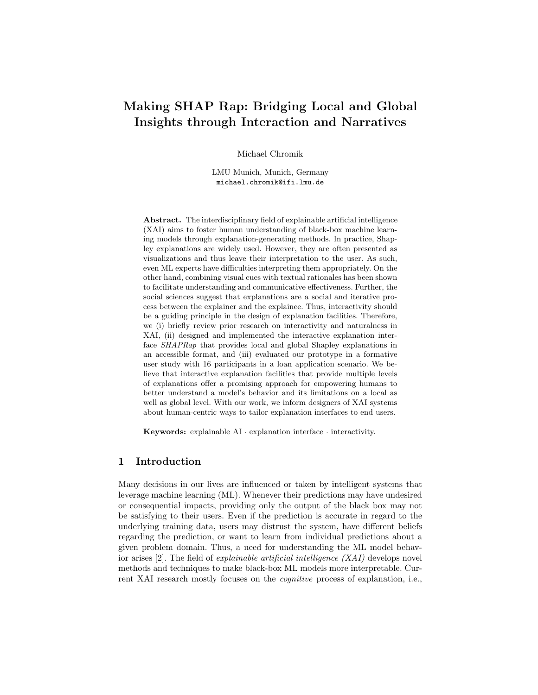# Making SHAP Rap: Bridging Local and Global Insights through Interaction and Narratives

Michael Chromik

LMU Munich, Munich, Germany michael.chromik@ifi.lmu.de

Abstract. The interdisciplinary field of explainable artificial intelligence (XAI) aims to foster human understanding of black-box machine learning models through explanation-generating methods. In practice, Shapley explanations are widely used. However, they are often presented as visualizations and thus leave their interpretation to the user. As such, even ML experts have difficulties interpreting them appropriately. On the other hand, combining visual cues with textual rationales has been shown to facilitate understanding and communicative effectiveness. Further, the social sciences suggest that explanations are a social and iterative process between the explainer and the explainee. Thus, interactivity should be a guiding principle in the design of explanation facilities. Therefore, we (i) briefly review prior research on interactivity and naturalness in XAI, (ii) designed and implemented the interactive explanation interface SHAPRap that provides local and global Shapley explanations in an accessible format, and (iii) evaluated our prototype in a formative user study with 16 participants in a loan application scenario. We believe that interactive explanation facilities that provide multiple levels of explanations offer a promising approach for empowering humans to better understand a model's behavior and its limitations on a local as well as global level. With our work, we inform designers of XAI systems about human-centric ways to tailor explanation interfaces to end users.

Keywords: explainable AI · explanation interface · interactivity.

## 1 Introduction

Many decisions in our lives are influenced or taken by intelligent systems that leverage machine learning (ML). Whenever their predictions may have undesired or consequential impacts, providing only the output of the black box may not be satisfying to their users. Even if the prediction is accurate in regard to the underlying training data, users may distrust the system, have different beliefs regarding the prediction, or want to learn from individual predictions about a given problem domain. Thus, a need for understanding the ML model behavior arises [2]. The field of explainable artificial intelligence (XAI) develops novel methods and techniques to make black-box ML models more interpretable. Current XAI research mostly focuses on the cognitive process of explanation, i.e.,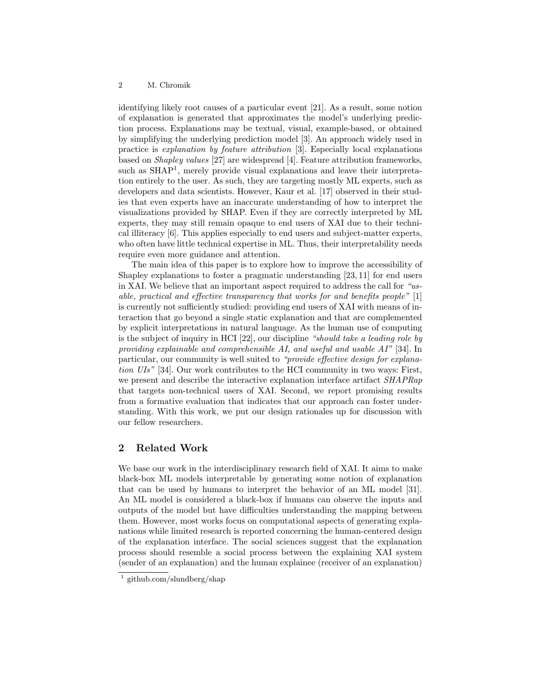identifying likely root causes of a particular event [21]. As a result, some notion of explanation is generated that approximates the model's underlying prediction process. Explanations may be textual, visual, example-based, or obtained by simplifying the underlying prediction model [3]. An approach widely used in practice is explanation by feature attribution [3]. Especially local explanations based on Shapley values [27] are widespread [4]. Feature attribution frameworks, such as SHAP<sup>1</sup>, merely provide visual explanations and leave their interpretation entirely to the user. As such, they are targeting mostly ML experts, such as developers and data scientists. However, Kaur et al. [17] observed in their studies that even experts have an inaccurate understanding of how to interpret the visualizations provided by SHAP. Even if they are correctly interpreted by ML experts, they may still remain opaque to end users of XAI due to their technical illiteracy [6]. This applies especially to end users and subject-matter experts, who often have little technical expertise in ML. Thus, their interpretability needs require even more guidance and attention.

The main idea of this paper is to explore how to improve the accessibility of Shapley explanations to foster a pragmatic understanding [23, 11] for end users in XAI. We believe that an important aspect required to address the call for "usable, practical and effective transparency that works for and benefits people" [1] is currently not sufficiently studied: providing end users of XAI with means of interaction that go beyond a single static explanation and that are complemented by explicit interpretations in natural language. As the human use of computing is the subject of inquiry in HCI [22], our discipline "should take a leading role by providing explainable and comprehensible AI, and useful and usable AI" [34]. In particular, our community is well suited to "provide effective design for explanation UIs" [34]. Our work contributes to the HCI community in two ways: First, we present and describe the interactive explanation interface artifact  $SHAPRap$ that targets non-technical users of XAI. Second, we report promising results from a formative evaluation that indicates that our approach can foster understanding. With this work, we put our design rationales up for discussion with our fellow researchers.

# 2 Related Work

We base our work in the interdisciplinary research field of XAI. It aims to make black-box ML models interpretable by generating some notion of explanation that can be used by humans to interpret the behavior of an ML model [31]. An ML model is considered a black-box if humans can observe the inputs and outputs of the model but have difficulties understanding the mapping between them. However, most works focus on computational aspects of generating explanations while limited research is reported concerning the human-centered design of the explanation interface. The social sciences suggest that the explanation process should resemble a social process between the explaining XAI system (sender of an explanation) and the human explainee (receiver of an explanation)

<sup>&</sup>lt;sup>1</sup> github.com/slundberg/shap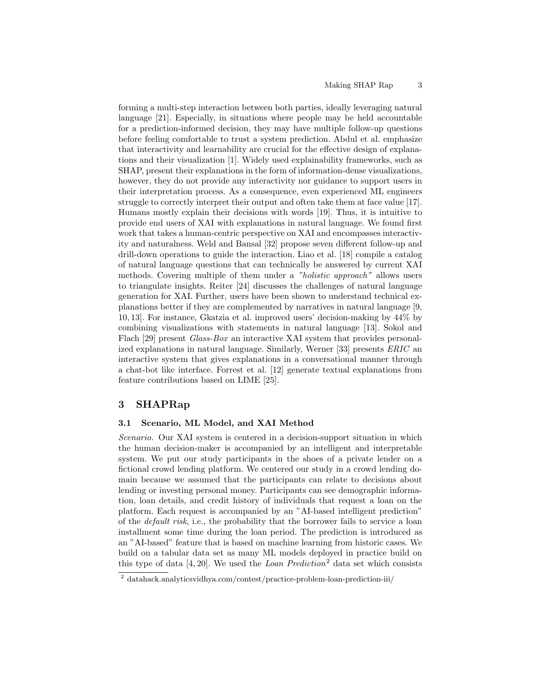forming a multi-step interaction between both parties, ideally leveraging natural language [21]. Especially, in situations where people may be held accountable for a prediction-informed decision, they may have multiple follow-up questions before feeling comfortable to trust a system prediction. Abdul et al. emphasize that interactivity and learnability are crucial for the effective design of explanations and their visualization [1]. Widely used explainability frameworks, such as SHAP, present their explanations in the form of information-dense visualizations, however, they do not provide any interactivity nor guidance to support users in their interpretation process. As a consequence, even experienced ML engineers struggle to correctly interpret their output and often take them at face value [17]. Humans mostly explain their decisions with words [19]. Thus, it is intuitive to provide end users of XAI with explanations in natural language. We found first work that takes a human-centric perspective on XAI and encompasses interactivity and naturalness. Weld and Bansal [32] propose seven different follow-up and drill-down operations to guide the interaction. Liao et al. [18] compile a catalog of natural language questions that can technically be answered by current XAI methods. Covering multiple of them under a "holistic approach" allows users to triangulate insights. Reiter [24] discusses the challenges of natural language generation for XAI. Further, users have been shown to understand technical explanations better if they are complemented by narratives in natural language [9, 10, 13]. For instance, Gkatzia et al. improved users' decision-making by 44% by combining visualizations with statements in natural language [13]. Sokol and Flach [29] present *Glass-Box* an interactive XAI system that provides personalized explanations in natural language. Similarly, Werner [33] presents ERIC an interactive system that gives explanations in a conversational manner through a chat-bot like interface. Forrest et al. [12] generate textual explanations from feature contributions based on LIME [25].

## 3 SHAPRap

### 3.1 Scenario, ML Model, and XAI Method

Scenario. Our XAI system is centered in a decision-support situation in which the human decision-maker is accompanied by an intelligent and interpretable system. We put our study participants in the shoes of a private lender on a fictional crowd lending platform. We centered our study in a crowd lending domain because we assumed that the participants can relate to decisions about lending or investing personal money. Participants can see demographic information, loan details, and credit history of individuals that request a loan on the platform. Each request is accompanied by an "AI-based intelligent prediction" of the default risk, i.e., the probability that the borrower fails to service a loan installment some time during the loan period. The prediction is introduced as an "AI-based" feature that is based on machine learning from historic cases. We build on a tabular data set as many ML models deployed in practice build on this type of data  $[4, 20]$ . We used the *Loan Prediction*<sup>2</sup> data set which consists

<sup>2</sup> datahack.analyticsvidhya.com/contest/practice-problem-loan-prediction-iii/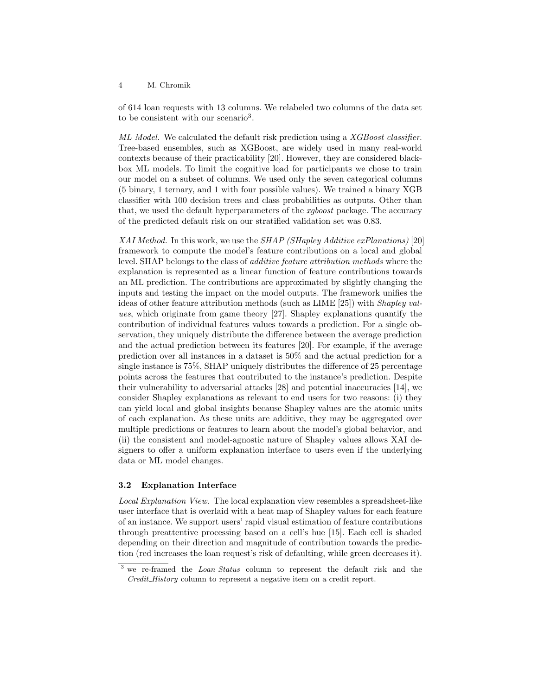#### 4 M. Chromik

of 614 loan requests with 13 columns. We relabeled two columns of the data set to be consistent with our scenario<sup>3</sup>.

ML Model. We calculated the default risk prediction using a XGBoost classifier. Tree-based ensembles, such as XGBoost, are widely used in many real-world contexts because of their practicability [20]. However, they are considered blackbox ML models. To limit the cognitive load for participants we chose to train our model on a subset of columns. We used only the seven categorical columns (5 binary, 1 ternary, and 1 with four possible values). We trained a binary XGB classifier with 100 decision trees and class probabilities as outputs. Other than that, we used the default hyperparameters of the xgboost package. The accuracy of the predicted default risk on our stratified validation set was 0.83.

XAI Method. In this work, we use the  $SHAP$  (SHapley Additive exPlanations) [20] framework to compute the model's feature contributions on a local and global level. SHAP belongs to the class of additive feature attribution methods where the explanation is represented as a linear function of feature contributions towards an ML prediction. The contributions are approximated by slightly changing the inputs and testing the impact on the model outputs. The framework unifies the ideas of other feature attribution methods (such as LIME [25]) with Shapley values, which originate from game theory [27]. Shapley explanations quantify the contribution of individual features values towards a prediction. For a single observation, they uniquely distribute the difference between the average prediction and the actual prediction between its features [20]. For example, if the average prediction over all instances in a dataset is 50% and the actual prediction for a single instance is 75%, SHAP uniquely distributes the difference of 25 percentage points across the features that contributed to the instance's prediction. Despite their vulnerability to adversarial attacks [28] and potential inaccuracies [14], we consider Shapley explanations as relevant to end users for two reasons: (i) they can yield local and global insights because Shapley values are the atomic units of each explanation. As these units are additive, they may be aggregated over multiple predictions or features to learn about the model's global behavior, and (ii) the consistent and model-agnostic nature of Shapley values allows XAI designers to offer a uniform explanation interface to users even if the underlying data or ML model changes.

#### 3.2 Explanation Interface

Local Explanation View. The local explanation view resembles a spreadsheet-like user interface that is overlaid with a heat map of Shapley values for each feature of an instance. We support users' rapid visual estimation of feature contributions through preattentive processing based on a cell's hue [15]. Each cell is shaded depending on their direction and magnitude of contribution towards the prediction (red increases the loan request's risk of defaulting, while green decreases it).

 $3$  we re-framed the *Loan-Status* column to represent the default risk and the Credit History column to represent a negative item on a credit report.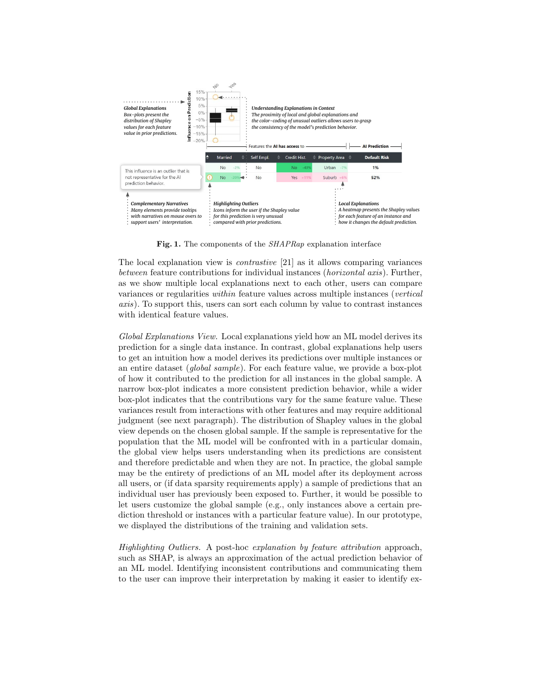

Fig. 1. The components of the SHAPRap explanation interface

The local explanation view is contrastive [21] as it allows comparing variances between feature contributions for individual instances (horizontal axis). Further, as we show multiple local explanations next to each other, users can compare variances or regularities within feature values across multiple instances (vertical axis). To support this, users can sort each column by value to contrast instances with identical feature values.

Global Explanations View. Local explanations yield how an ML model derives its prediction for a single data instance. In contrast, global explanations help users to get an intuition how a model derives its predictions over multiple instances or an entire dataset (global sample). For each feature value, we provide a box-plot of how it contributed to the prediction for all instances in the global sample. A narrow box-plot indicates a more consistent prediction behavior, while a wider box-plot indicates that the contributions vary for the same feature value. These variances result from interactions with other features and may require additional judgment (see next paragraph). The distribution of Shapley values in the global view depends on the chosen global sample. If the sample is representative for the population that the ML model will be confronted with in a particular domain, the global view helps users understanding when its predictions are consistent and therefore predictable and when they are not. In practice, the global sample may be the entirety of predictions of an ML model after its deployment across all users, or (if data sparsity requirements apply) a sample of predictions that an individual user has previously been exposed to. Further, it would be possible to let users customize the global sample (e.g., only instances above a certain prediction threshold or instances with a particular feature value). In our prototype, we displayed the distributions of the training and validation sets.

Highlighting Outliers. A post-hoc explanation by feature attribution approach, such as SHAP, is always an approximation of the actual prediction behavior of an ML model. Identifying inconsistent contributions and communicating them to the user can improve their interpretation by making it easier to identify ex-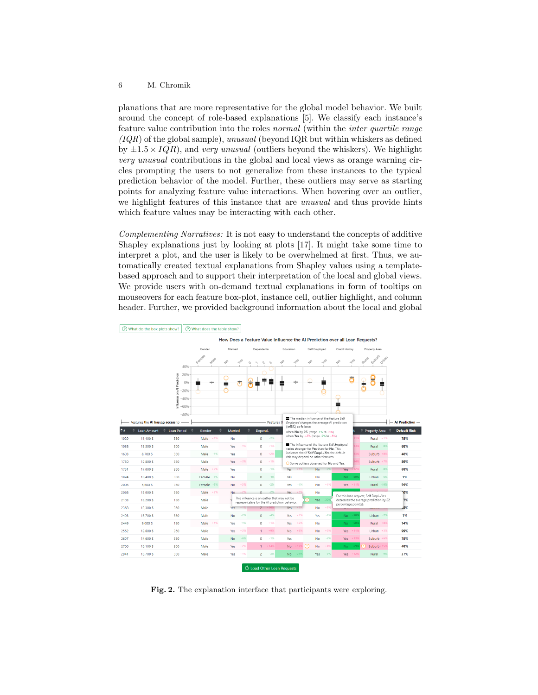#### 6 M. Chromik

planations that are more representative for the global model behavior. We built around the concept of role-based explanations [5]. We classify each instance's feature value contribution into the roles normal (within the inter quartile range  $(IQR)$  of the global sample), unusual (beyond IQR but within whiskers as defined by  $\pm 1.5 \times IQR$ , and very unusual (outliers beyond the whiskers). We highlight very unusual contributions in the global and local views as orange warning circles prompting the users to not generalize from these instances to the typical prediction behavior of the model. Further, these outliers may serve as starting points for analyzing feature value interactions. When hovering over an outlier, we highlight features of this instance that are unusual and thus provide hints which feature values may be interacting with each other.

Complementing Narratives: It is not easy to understand the concepts of additive Shapley explanations just by looking at plots [17]. It might take some time to interpret a plot, and the user is likely to be overwhelmed at first. Thus, we automatically created textual explanations from Shapley values using a templatebased approach and to support their interpretation of the local and global views. We provide users with on-demand textual explanations in form of tooltips on mouseovers for each feature box-plot, instance cell, outlier highlight, and column header. Further, we provided background information about the local and global



What do the box plots show? | 3 What does the table show?

Fig. 2. The explanation interface that participants were exploring.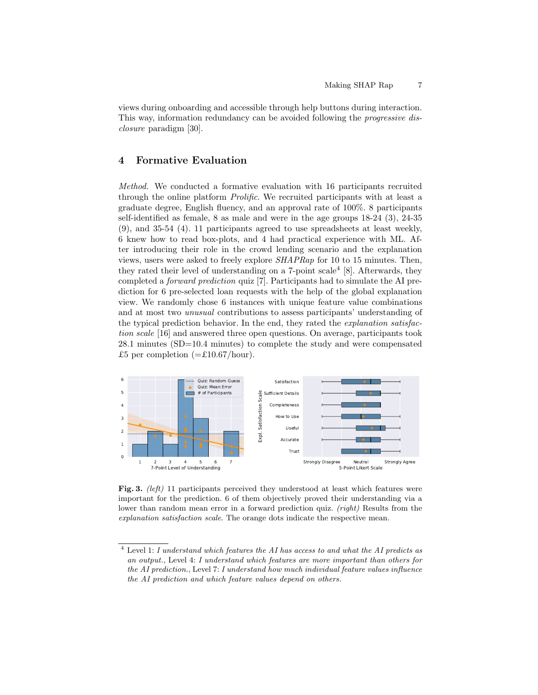views during onboarding and accessible through help buttons during interaction. This way, information redundancy can be avoided following the progressive disclosure paradigm [30].

# 4 Formative Evaluation

Method. We conducted a formative evaluation with 16 participants recruited through the online platform Prolific. We recruited participants with at least a graduate degree, English fluency, and an approval rate of 100%. 8 participants self-identified as female, 8 as male and were in the age groups 18-24 (3), 24-35 (9), and 35-54 (4). 11 participants agreed to use spreadsheets at least weekly, 6 knew how to read box-plots, and 4 had practical experience with ML. After introducing their role in the crowd lending scenario and the explanation views, users were asked to freely explore SHAPRap for 10 to 15 minutes. Then, they rated their level of understanding on a  $7$ -point scale<sup>4</sup> [8]. Afterwards, they completed a forward prediction quiz [7]. Participants had to simulate the AI prediction for 6 pre-selected loan requests with the help of the global explanation view. We randomly chose 6 instances with unique feature value combinations and at most two unusual contributions to assess participants' understanding of the typical prediction behavior. In the end, they rated the explanation satisfaction scale [16] and answered three open questions. On average, participants took 28.1 minutes (SD=10.4 minutes) to complete the study and were compensated £5 per completion  $(=\text{\textsterling}10.67/hour)$ .



Fig. 3. (left) 11 participants perceived they understood at least which features were important for the prediction. 6 of them objectively proved their understanding via a lower than random mean error in a forward prediction quiz. (right) Results from the explanation satisfaction scale. The orange dots indicate the respective mean.

 $^4$  Level 1:  $\it I$  understand which features the AI has access to and what the AI predicts as an output., Level 4: I understand which features are more important than others for the AI prediction., Level 7: I understand how much individual feature values influence the AI prediction and which feature values depend on others.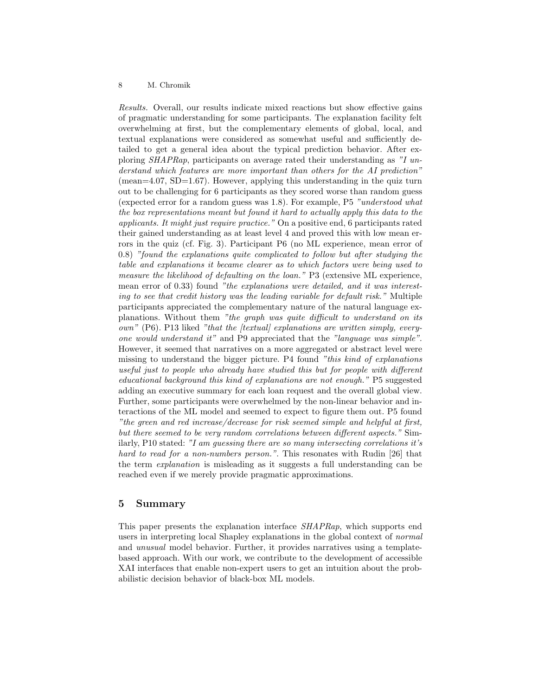### 8 M. Chromik

Results. Overall, our results indicate mixed reactions but show effective gains of pragmatic understanding for some participants. The explanation facility felt overwhelming at first, but the complementary elements of global, local, and textual explanations were considered as somewhat useful and sufficiently detailed to get a general idea about the typical prediction behavior. After exploring SHAPRap, participants on average rated their understanding as "I understand which features are more important than others for the AI prediction" (mean=4.07, SD=1.67). However, applying this understanding in the quiz turn out to be challenging for 6 participants as they scored worse than random guess (expected error for a random guess was 1.8). For example, P5 "understood what the box representations meant but found it hard to actually apply this data to the applicants. It might just require practice." On a positive end, 6 participants rated their gained understanding as at least level 4 and proved this with low mean errors in the quiz (cf. Fig. 3). Participant P6 (no ML experience, mean error of 0.8) "found the explanations quite complicated to follow but after studying the table and explanations it became clearer as to which factors were being used to measure the likelihood of defaulting on the loan." P3 (extensive ML experience, mean error of 0.33) found "the explanations were detailed, and it was interesting to see that credit history was the leading variable for default risk." Multiple participants appreciated the complementary nature of the natural language explanations. Without them "the graph was quite difficult to understand on its own" (P6). P13 liked "that the [textual] explanations are written simply, everyone would understand it" and P9 appreciated that the "language was simple". However, it seemed that narratives on a more aggregated or abstract level were missing to understand the bigger picture. P4 found "this kind of explanations" useful just to people who already have studied this but for people with different educational background this kind of explanations are not enough." P5 suggested adding an executive summary for each loan request and the overall global view. Further, some participants were overwhelmed by the non-linear behavior and interactions of the ML model and seemed to expect to figure them out. P5 found "the green and red increase/decrease for risk seemed simple and helpful at first, but there seemed to be very random correlations between different aspects." Similarly, P10 stated: "I am guessing there are so many intersecting correlations it's hard to read for a non-numbers person.". This resonates with Rudin [26] that the term explanation is misleading as it suggests a full understanding can be reached even if we merely provide pragmatic approximations.

## 5 Summary

This paper presents the explanation interface SHAPRap, which supports end users in interpreting local Shapley explanations in the global context of normal and unusual model behavior. Further, it provides narratives using a templatebased approach. With our work, we contribute to the development of accessible XAI interfaces that enable non-expert users to get an intuition about the probabilistic decision behavior of black-box ML models.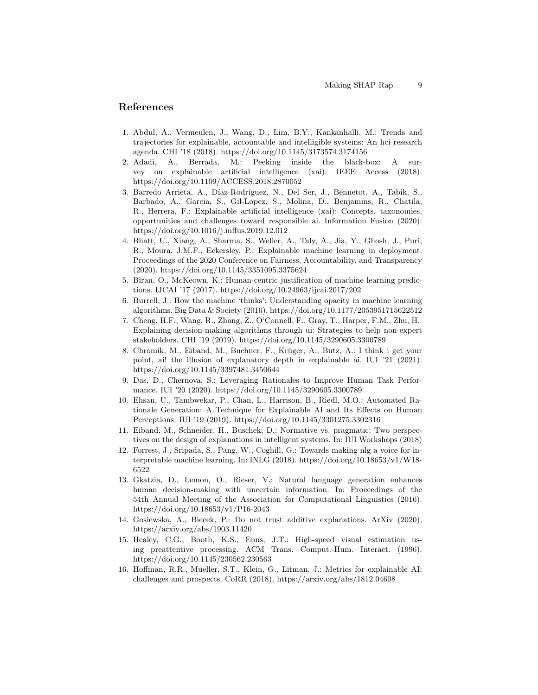## References

- 1. Abdul, A., Vermeulen, J., Wang, D., Lim, B.Y., Kankanhalli, M.: Trends and trajectories for explainable, accountable and intelligible systems: An hci research agenda. CHI '18 (2018). https://doi.org/10.1145/3173574.3174156
- 2. Adadi, A., Berrada, M.: Peeking inside the black-box: A survey on explainable artificial intelligence (xai). IEEE Access (2018). https://doi.org/10.1109/ACCESS.2018.2870052
- 3. Barredo Arrieta, A., Díaz-Rodríguez, N., Del Ser, J., Bennetot, A., Tabik, S., Barbado, A., Garcia, S., Gil-Lopez, S., Molina, D., Benjamins, R., Chatila, R., Herrera, F.: Explainable artificial intelligence (xai): Concepts, taxonomies, opportunities and challenges toward responsible ai. Information Fusion (2020). https://doi.org/10.1016/j.inffus.2019.12.012
- 4. Bhatt, U., Xiang, A., Sharma, S., Weller, A., Taly, A., Jia, Y., Ghosh, J., Puri, R., Moura, J.M.F., Eckersley, P.: Explainable machine learning in deployment. Proceedings of the 2020 Conference on Fairness, Accountability, and Transparency (2020). https://doi.org/10.1145/3351095.3375624
- 5. Biran, O., McKeown, K.: Human-centric justification of machine learning predictions. IJCAI '17 (2017). https://doi.org/10.24963/ijcai.2017/202
- 6. Burrell, J.: How the machine 'thinks': Understanding opacity in machine learning algorithms. Big Data & Society (2016). https://doi.org/10.1177/2053951715622512
- 7. Cheng, H.F., Wang, R., Zhang, Z., O'Connell, F., Gray, T., Harper, F.M., Zhu, H.: Explaining decision-making algorithms through ui: Strategies to help non-expert stakeholders. CHI '19 (2019). https://doi.org/10.1145/3290605.3300789
- 8. Chromik, M., Eiband, M., Buchner, F., Krüger, A., Butz, A.: I think i get your point, ai! the illusion of explanatory depth in explainable ai. IUI '21 (2021). https://doi.org/10.1145/3397481.3450644
- 9. Das, D., Chernova, S.: Leveraging Rationales to Improve Human Task Performance. IUI '20 (2020). https://doi.org/10.1145/3290605.3300789
- 10. Ehsan, U., Tambwekar, P., Chan, L., Harrison, B., Riedl, M.O.: Automated Rationale Generation: A Technique for Explainable AI and Its Effects on Human Perceptions. IUI '19 (2019). https://doi.org/10.1145/3301275.3302316
- 11. Eiband, M., Schneider, H., Buschek, D.: Normative vs. pragmatic: Two perspectives on the design of explanations in intelligent systems. In: IUI Workshops (2018)
- 12. Forrest, J., Sripada, S., Pang, W., Coghill, G.: Towards making nlg a voice for interpretable machine learning. In: INLG (2018). https://doi.org/10.18653/v1/W18- 6522
- 13. Gkatzia, D., Lemon, O., Rieser, V.: Natural language generation enhances human decision-making with uncertain information. In: Proceedings of the 54th Annual Meeting of the Association for Computational Linguistics (2016). https://doi.org/10.18653/v1/P16-2043
- 14. Gosiewska, A., Biecek, P.: Do not trust additive explanations. ArXiv (2020), https://arxiv.org/abs/1903.11420
- 15. Healey, C.G., Booth, K.S., Enns, J.T.: High-speed visual estimation using preattentive processing. ACM Trans. Comput.-Hum. Interact. (1996). https://doi.org/10.1145/230562.230563
- 16. Hoffman, R.R., Mueller, S.T., Klein, G., Litman, J.: Metrics for explainable AI: challenges and prospects. CoRR (2018), https://arxiv.org/abs/1812.04608